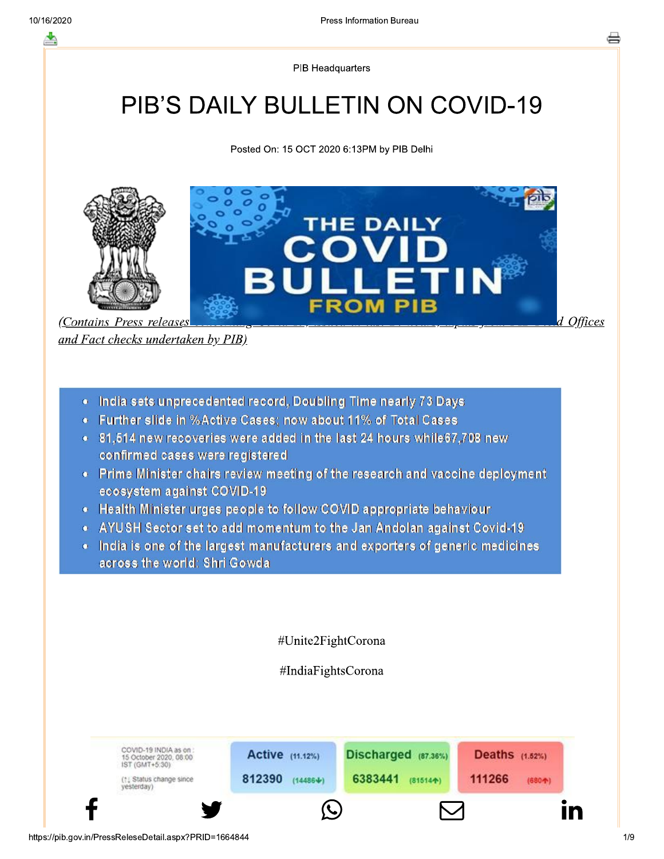**PIB Headquarters** 

# **PIB'S DAILY BULLETIN ON COVID-19**

Posted On: 15 OCT 2020 6:13PM by PIB Delhi



and Fact checks undertaken by PIB)

- India sets unprecedented record, Doubling Time nearly 73 Days
- Further slide in %Active Cases; now about 11% of Total Cases
- . 81.514 new recoveries were added in the last 24 hours while 67.708 new confirmed cases were registered
- Prime Minister chairs review meeting of the research and vaccine deployment ecosystem against COVID-19
- Health Minister urges people to follow COVID appropriate behaviour
- AYUSH Sector set to add momentum to the Jan Andolan against Covid-19
- India is one of the largest manufacturers and exporters of generic medicines across the world: Shri Gowda

#Unite2FightCorona

#IndiaFightsCorona

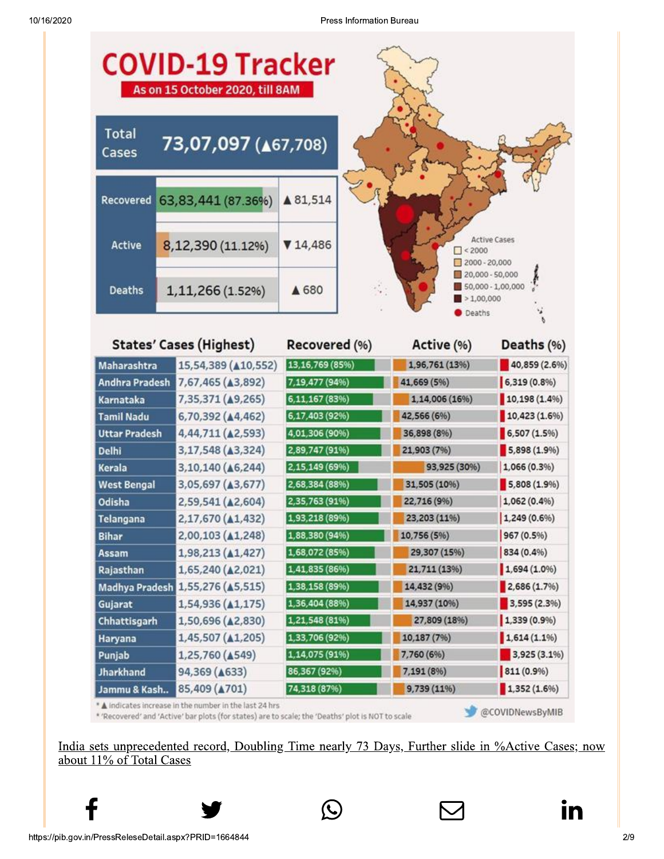

\* 'Recovered' and 'Active' bar plots (for states) are to scale; the 'Deaths' plot is NOT to scale

@COVIDNewsByMIB

India sets unprecedented record, Doubling Time nearly 73 Days, Further slide in %Active Cases; now about 11% of Total Cases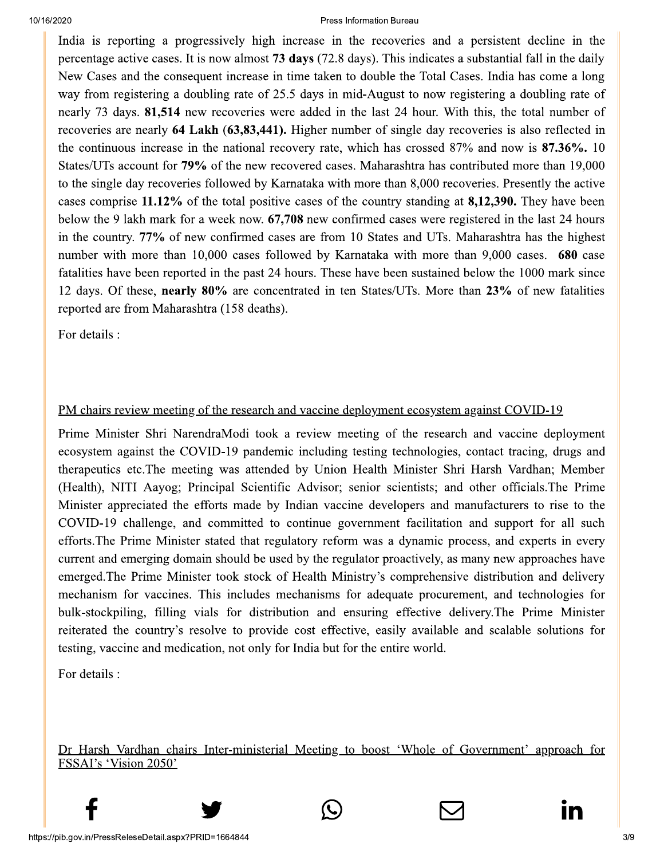India is reporting a progressively high increase in the recoveries and a persistent decline in the percentage active cases. It is now almost 73 days (72.8 days). This indicates a substantial fall in the daily New Cases and the consequent increase in time taken to double the Total Cases. India has come a long way from registering a doubling rate of 25.5 days in mid-August to now registering a doubling rate of nearly 73 days. 81,514 new recoveries were added in the last 24 hour. With this, the total number of recoveries are nearly 64 Lakh (63,83,441). Higher number of single day recoveries is also reflected in the continuous increase in the national recovery rate, which has crossed 87% and now is 87.36%. 10 States/UTs account for 79% of the new recovered cases. Maharashtra has contributed more than 19,000 to the single day recoveries followed by Karnataka with more than 8,000 recoveries. Presently the active cases comprise 11.12% of the total positive cases of the country standing at 8,12,390. They have been below the 9 lakh mark for a week now. 67,708 new confirmed cases were registered in the last 24 hours in the country. 77% of new confirmed cases are from 10 States and UTs. Maharashtra has the highest number with more than 10,000 cases followed by Karnataka with more than 9,000 cases. 680 case fatalities have been reported in the past 24 hours. These have been sustained below the 1000 mark since 12 days. Of these, nearly 80% are concentrated in ten States/UTs. More than 23% of new fatalities reported are from Maharashtra (158 deaths).

For details :

### PM chairs review meeting of the research and vaccine deployment ecosystem against COVID-19

Prime Minister Shri NarendraModi took a review meeting of the research and vaccine deployment ecosystem against the COVID-19 pandemic including testing technologies, contact tracing, drugs and therapeutics etc. The meeting was attended by Union Health Minister Shri Harsh Vardhan; Member (Health), NITI Aayog; Principal Scientific Advisor; senior scientists; and other officials. The Prime Minister appreciated the efforts made by Indian vaccine developers and manufacturers to rise to the COVID-19 challenge, and committed to continue government facilitation and support for all such efforts. The Prime Minister stated that regulatory reform was a dynamic process, and experts in every current and emerging domain should be used by the regulator proactively, as many new approaches have emerged. The Prime Minister took stock of Health Ministry's comprehensive distribution and delivery mechanism for vaccines. This includes mechanisms for adequate procurement, and technologies for bulk-stockpiling, filling vials for distribution and ensuring effective delivery. The Prime Minister reiterated the country's resolve to provide cost effective, easily available and scalable solutions for testing, vaccine and medication, not only for India but for the entire world.

For details :

Dr Harsh Vardhan chairs Inter-ministerial Meeting to boost 'Whole of Government' approach for FSSAI's 'Vision 2050'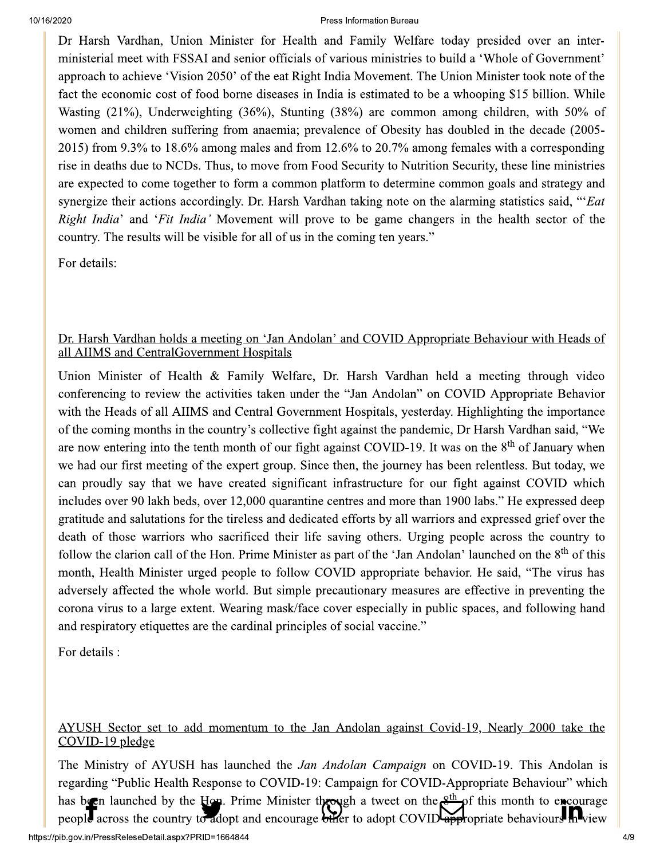Dr Harsh Vardhan, Union Minister for Health and Family Welfare today presided over an interministerial meet with FSSAI and senior officials of various ministries to build a 'Whole of Government' approach to achieve 'Vision 2050' of the eat Right India Movement. The Union Minister took note of the fact the economic cost of food borne diseases in India is estimated to be a whooping \$15 billion. While Wasting (21%), Underweighting (36%), Stunting (38%) are common among children, with 50% of women and children suffering from anaemia; prevalence of Obesity has doubled in the decade (2005-2015) from 9.3% to 18.6% among males and from 12.6% to 20.7% among females with a corresponding rise in deaths due to NCDs. Thus, to move from Food Security to Nutrition Security, these line ministries are expected to come together to form a common platform to determine common goals and strategy and synergize their actions accordingly. Dr. Harsh Vardhan taking note on the alarming statistics said, "'Eat Right India' and 'Fit India' Movement will prove to be game changers in the health sector of the country. The results will be visible for all of us in the coming ten years."

For details:

### Dr. Harsh Vardhan holds a meeting on 'Jan Andolan' and COVID Appropriate Behaviour with Heads of all AIIMS and CentralGovernment Hospitals

Union Minister of Health & Family Welfare, Dr. Harsh Vardhan held a meeting through video conferencing to review the activities taken under the "Jan Andolan" on COVID Appropriate Behavior with the Heads of all AIIMS and Central Government Hospitals, yesterday. Highlighting the importance of the coming months in the country's collective fight against the pandemic, Dr Harsh Vardhan said, "We are now entering into the tenth month of our fight against COVID-19. It was on the 8<sup>th</sup> of January when we had our first meeting of the expert group. Since then, the journey has been relentless. But today, we can proudly say that we have created significant infrastructure for our fight against COVID which includes over 90 lakh beds, over 12,000 quarantine centres and more than 1900 labs." He expressed deep gratitude and salutations for the tireless and dedicated efforts by all warriors and expressed grief over the death of those warriors who sacrificed their life saving others. Urging people across the country to follow the clarion call of the Hon. Prime Minister as part of the 'Jan Andolan' launched on the 8<sup>th</sup> of this month, Health Minister urged people to follow COVID appropriate behavior. He said, "The virus has adversely affected the whole world. But simple precautionary measures are effective in preventing the corona virus to a large extent. Wearing mask/face cover especially in public spaces, and following hand and respiratory etiquettes are the cardinal principles of social vaccine."

For details :

### AYUSH Sector set to add momentum to the Jan Andolan against Covid-19, Nearly 2000 take the COVID-19 pledge

The Ministry of AYUSH has launched the Jan Andolan Campaign on COVID-19. This Andolan is regarding "Public Health Response to COVID-19: Campaign for COVID-Appropriate Behaviour" which has been launched by the Hon. Prime Minister through a tweet on the  $g<sup>th</sup>$  of this month to excourage people across the country to adopt and encourage biler to adopt COVID appropriate behaviours he view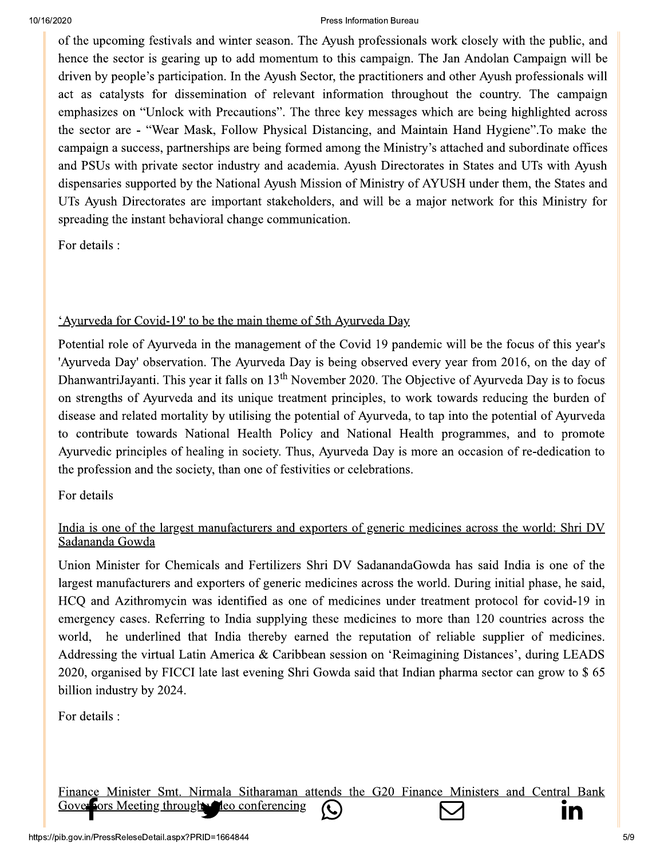of the upcoming festivals and winter season. The Ayush professionals work closely with the public, and hence the sector is gearing up to add momentum to this campaign. The Jan Andolan Campaign will be driven by people's participation. In the Ayush Sector, the practitioners and other Ayush professionals will act as catalysts for dissemination of relevant information throughout the country. The campaign emphasizes on "Unlock with Precautions". The three key messages which are being highlighted across the sector are - "Wear Mask, Follow Physical Distancing, and Maintain Hand Hygiene". To make the campaign a success, partnerships are being formed among the Ministry's attached and subordinate offices and PSUs with private sector industry and academia. Ayush Directorates in States and UTs with Ayush dispensaries supported by the National Ayush Mission of Ministry of AYUSH under them, the States and UTs Ayush Directorates are important stakeholders, and will be a major network for this Ministry for spreading the instant behavioral change communication.

For details :

### <u>'Ayurveda for Covid-19' to be the main theme of 5th Ayurveda Day</u>

Potential role of Ayurveda in the management of the Covid 19 pandemic will be the focus of this year's 'Ayurveda Day' observation. The Ayurveda Day is being observed every year from 2016, on the day of DhanwantriJayanti. This year it falls on 13<sup>th</sup> November 2020. The Objective of Ayurveda Day is to focus on strengths of Ayurveda and its unique treatment principles, to work towards reducing the burden of disease and related mortality by utilising the potential of Ayurveda, to tap into the potential of Ayurveda to contribute towards National Health Policy and National Health programmes, and to promote Ayurvedic principles of healing in society. Thus, Ayurveda Day is more an occasion of re-dedication to the profession and the society, than one of festivities or celebrations.

For details

### India is one of the largest manufacturers and exporters of generic medicines across the world: Shri DV Sadananda Gowda

Union Minister for Chemicals and Fertilizers Shri DV Sadananda Gowda has said India is one of the largest manufacturers and exporters of generic medicines across the world. During initial phase, he said, HCQ and Azithromycin was identified as one of medicines under treatment protocol for covid-19 in emergency cases. Referring to India supplying these medicines to more than 120 countries across the world, he underlined that India thereby earned the reputation of reliable supplier of medicines. Addressing the virtual Latin America & Caribbean session on 'Reimagining Distances', during LEADS 2020, organised by FICCI late last evening Shri Gowda said that Indian pharma sector can grow to \$65 billion industry by 2024.

For details :

Finance Minister Smt. Nirmala Sitharaman attends the G20 Finance Ministers and Central Bank **Fors Meeting through w Heo conferencing**  $\mathcal{K}_{\mathcal{L}}$ ın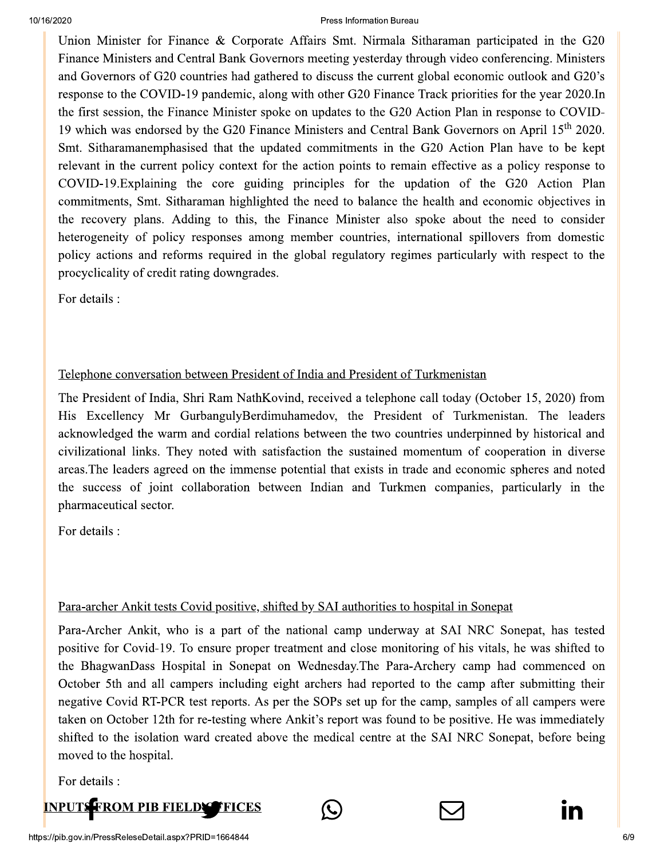Union Minister for Finance & Corporate Affairs Smt. Nirmala Sitharaman participated in the G20 Finance Ministers and Central Bank Governors meeting yesterday through video conferencing. Ministers and Governors of G20 countries had gathered to discuss the current global economic outlook and G20's response to the COVID-19 pandemic, along with other G20 Finance Track priorities for the year 2020. In the first session, the Finance Minister spoke on updates to the G20 Action Plan in response to COVID-19 which was endorsed by the G20 Finance Ministers and Central Bank Governors on April 15<sup>th</sup> 2020. Smt. Sitharamanemphasised that the updated commitments in the G20 Action Plan have to be kept relevant in the current policy context for the action points to remain effective as a policy response to COVID-19. Explaining the core guiding principles for the updation of the G20 Action Plan commitments, Smt. Sitharaman highlighted the need to balance the health and economic objectives in the recovery plans. Adding to this, the Finance Minister also spoke about the need to consider heterogeneity of policy responses among member countries, international spillovers from domestic policy actions and reforms required in the global regulatory regimes particularly with respect to the procyclicality of credit rating downgrades.

For details :

### Telephone conversation between President of India and President of Turkmenistan

The President of India, Shri Ram NathKovind, received a telephone call today (October 15, 2020) from His Excellency Mr GurbangulyBerdimuhamedov, the President of Turkmenistan. The leaders acknowledged the warm and cordial relations between the two countries underpinned by historical and civilizational links. They noted with satisfaction the sustained momentum of cooperation in diverse areas. The leaders agreed on the immense potential that exists in trade and economic spheres and noted the success of joint collaboration between Indian and Turkmen companies, particularly in the pharmaceutical sector.

For details :

### Para-archer Ankit tests Covid positive, shifted by SAI authorities to hospital in Sonepat

Para-Archer Ankit, who is a part of the national camp underway at SAI NRC Sonepat, has tested positive for Covid-19. To ensure proper treatment and close monitoring of his vitals, he was shifted to the BhagwanDass Hospital in Sonepat on Wednesday. The Para-Archery camp had commenced on October 5th and all campers including eight archers had reported to the camp after submitting their negative Covid RT-PCR test reports. As per the SOPs set up for the camp, samples of all campers were taken on October 12th for re-testing where Ankit's report was found to be positive. He was immediately shifted to the isolation ward created above the medical centre at the SAI NRC Sonepat, before being moved to the hospital.

For details :

### **INPUTS FROM PIB FIELDY TFICES**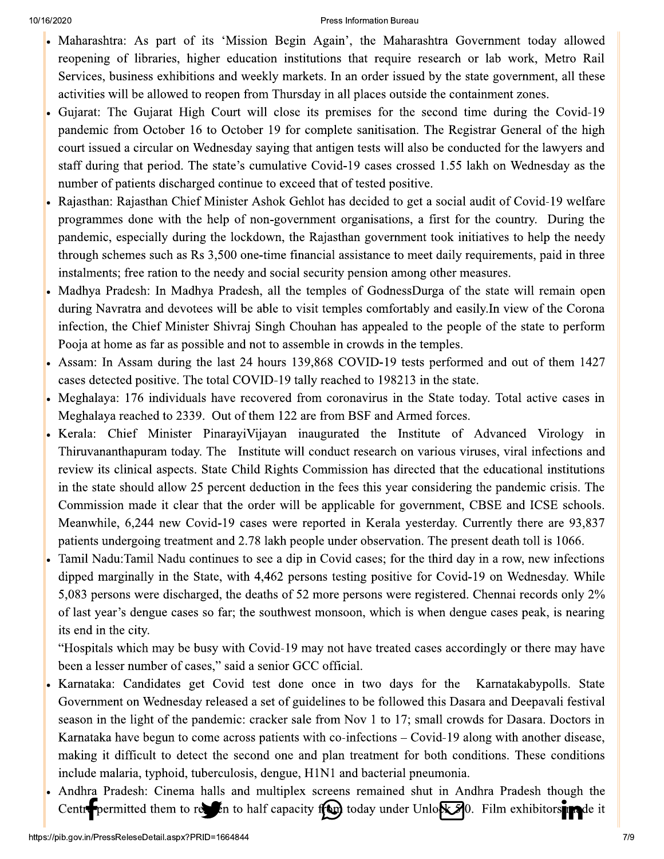- Maharashtra: As part of its 'Mission Begin Again', the Maharashtra Government today allowed reopening of libraries, higher education institutions that require research or lab work, Metro Rail Services, business exhibitions and weekly markets. In an order issued by the state government, all these activities will be allowed to reopen from Thursday in all places outside the containment zones.
- Gujarat: The Gujarat High Court will close its premises for the second time during the Covid-19 pandemic from October 16 to October 19 for complete sanitisation. The Registrar General of the high court issued a circular on Wednesday saying that antigen tests will also be conducted for the lawyers and staff during that period. The state's cumulative Covid-19 cases crossed 1.55 lakh on Wednesday as the number of patients discharged continue to exceed that of tested positive.
- Rajasthan: Rajasthan Chief Minister Ashok Gehlot has decided to get a social audit of Covid-19 welfare programmes done with the help of non-government organisations, a first for the country. During the pandemic, especially during the lockdown, the Rajasthan government took initiatives to help the needy through schemes such as Rs 3,500 one-time financial assistance to meet daily requirements, paid in three instalments; free ration to the needy and social security pension among other measures.
- Madhya Pradesh: In Madhya Pradesh, all the temples of GodnessDurga of the state will remain open during Navratra and devotees will be able to visit temples comfortably and easily. In view of the Corona infection, the Chief Minister Shivraj Singh Chouhan has appealed to the people of the state to perform Pooja at home as far as possible and not to assemble in crowds in the temples.
- Assam: In Assam during the last 24 hours 139,868 COVID-19 tests performed and out of them 1427 cases detected positive. The total COVID-19 tally reached to 198213 in the state.
- Meghalaya: 176 individuals have recovered from coronavirus in the State today. Total active cases in Meghalaya reached to 2339. Out of them 122 are from BSF and Armed forces.
- Kerala: Chief Minister Pinarayi Vijayan inaugurated the Institute of Advanced Virology in Thiruvananthapuram today. The Institute will conduct research on various viruses, viral infections and review its clinical aspects. State Child Rights Commission has directed that the educational institutions in the state should allow 25 percent deduction in the fees this year considering the pandemic crisis. The Commission made it clear that the order will be applicable for government, CBSE and ICSE schools. Meanwhile, 6,244 new Covid-19 cases were reported in Kerala yesterday. Currently there are 93,837 patients undergoing treatment and 2.78 lakh people under observation. The present death toll is 1066.
- Tamil Nadu: Tamil Nadu continues to see a dip in Covid cases; for the third day in a row, new infections dipped marginally in the State, with 4,462 persons testing positive for Covid-19 on Wednesday. While 5,083 persons were discharged, the deaths of 52 more persons were registered. Chennai records only 2% of last year's dengue cases so far; the southwest monsoon, which is when dengue cases peak, is nearing its end in the city.

"Hospitals which may be busy with Covid-19 may not have treated cases accordingly or there may have been a lesser number of cases," said a senior GCC official.

- Karnataka: Candidates get Covid test done once in two days for the Karnatakabypolls. State Government on Wednesday released a set of guidelines to be followed this Dasara and Deepavali festival season in the light of the pandemic: cracker sale from Nov 1 to 17; small crowds for Dasara. Doctors in Karnataka have begun to come across patients with co-infections – Covid-19 along with another disease, making it difficult to detect the second one and plan treatment for both conditions. These conditions include malaria, typhoid, tuberculosis, dengue, H1N1 and bacterial pneumonia.
- Andhra Pradesh: Cinema halls and multiplex screens remained shut in Andhra Pradesh though the Centry permitted them to reset in to half capacity if the today under Unlos  $\sqrt{3}$ 0. Film exhibitors and it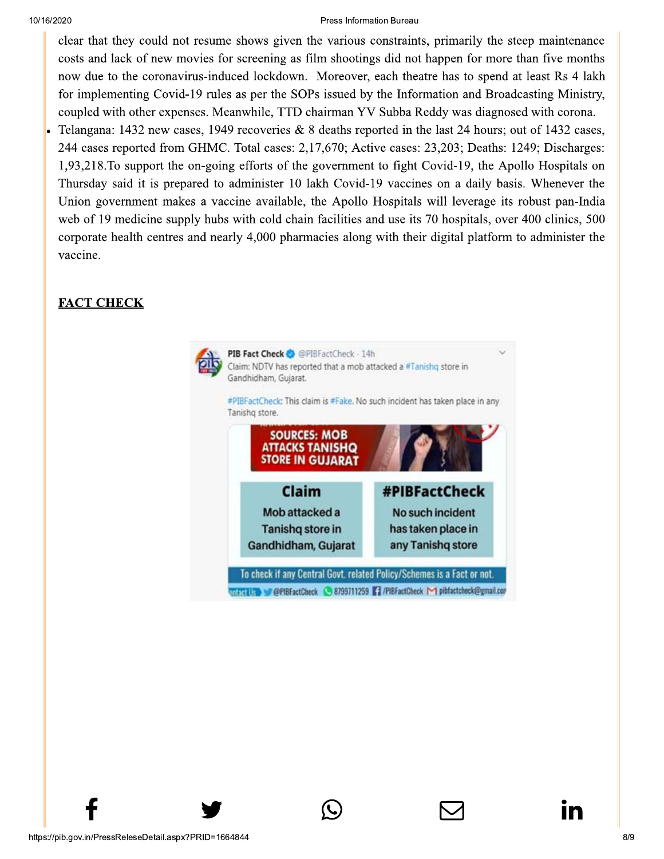clear that they could not resume shows given the various constraints, primarily the steep maintenance costs and lack of new movies for screening as film shootings did not happen for more than five months now due to the coronavirus-induced lockdown. Moreover, each theatre has to spend at least Rs 4 lakh for implementing Covid-19 rules as per the SOPs issued by the Information and Broadcasting Ministry, coupled with other expenses. Meanwhile, TTD chairman YV Subba Reddy was diagnosed with corona.

Telangana: 1432 new cases, 1949 recoveries & 8 deaths reported in the last 24 hours; out of 1432 cases, 244 cases reported from GHMC. Total cases: 2,17,670; Active cases: 23,203; Deaths: 1249; Discharges: 1,93,218. To support the on-going efforts of the government to fight Covid-19, the Apollo Hospitals on Thursday said it is prepared to administer 10 lakh Covid-19 vaccines on a daily basis. Whenever the Union government makes a vaccine available, the Apollo Hospitals will leverage its robust pan-India web of 19 medicine supply hubs with cold chain facilities and use its 70 hospitals, over 400 clinics, 500 corporate health centres and nearly 4,000 pharmacies along with their digital platform to administer the vaccine.

## **FACT CHECK**